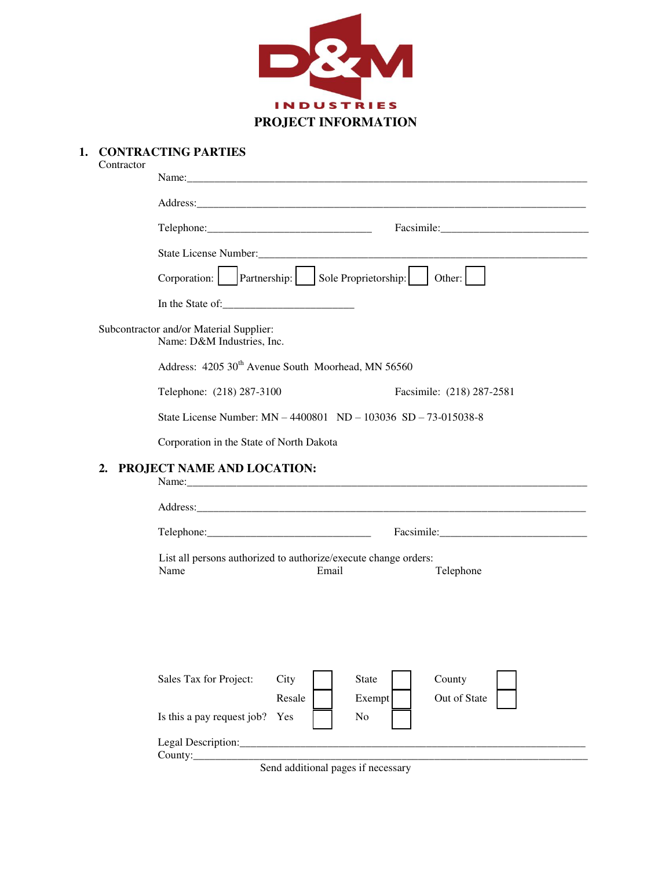

**1. CONTRACTING PARTIES**

| Contractor                                                            |                                                                                  |                           |  |  |  |
|-----------------------------------------------------------------------|----------------------------------------------------------------------------------|---------------------------|--|--|--|
|                                                                       |                                                                                  |                           |  |  |  |
|                                                                       |                                                                                  | Facsimile: Facsimile:     |  |  |  |
|                                                                       | Other: $\vert$                                                                   |                           |  |  |  |
|                                                                       |                                                                                  |                           |  |  |  |
|                                                                       |                                                                                  |                           |  |  |  |
| Subcontractor and/or Material Supplier:<br>Name: D&M Industries, Inc. |                                                                                  |                           |  |  |  |
|                                                                       | Address: 4205 30 <sup>th</sup> Avenue South Moorhead, MN 56560                   |                           |  |  |  |
|                                                                       | Telephone: (218) 287-3100                                                        | Facsimile: (218) 287-2581 |  |  |  |
|                                                                       | State License Number: MN - 4400801 ND - 103036 SD - 73-015038-8                  |                           |  |  |  |
|                                                                       | Corporation in the State of North Dakota                                         |                           |  |  |  |
| PROJECT NAME AND LOCATION:<br>2.                                      |                                                                                  |                           |  |  |  |
|                                                                       |                                                                                  |                           |  |  |  |
|                                                                       |                                                                                  |                           |  |  |  |
|                                                                       | List all persons authorized to authorize/execute change orders:<br>Name<br>Email | Telephone                 |  |  |  |
|                                                                       | City<br><b>State</b><br>Sales Tax for Project:                                   | County                    |  |  |  |
|                                                                       | Resale<br>Exempt<br>Is this a pay request job?<br>No<br>Yes                      | Out of State              |  |  |  |
|                                                                       |                                                                                  |                           |  |  |  |

Send additional pages if necessary